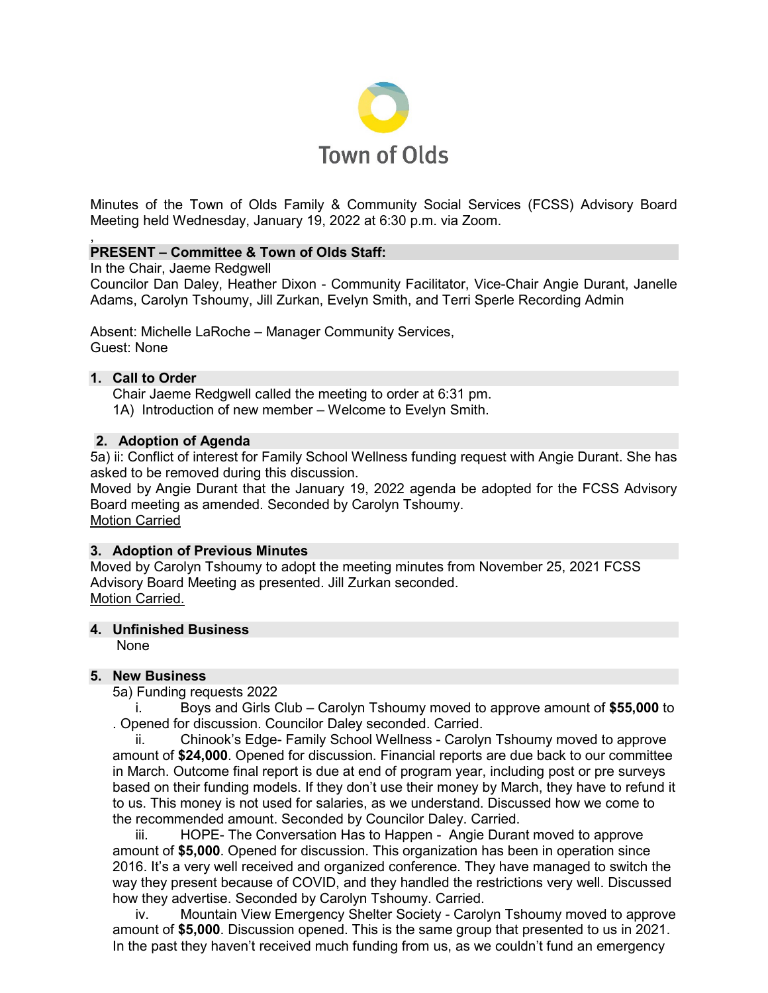

Minutes of the Town of Olds Family & Community Social Services (FCSS) Advisory Board Meeting held Wednesday, January 19, 2022 at 6:30 p.m. via Zoom.

#### , **PRESENT – Committee & Town of Olds Staff:**

In the Chair, Jaeme Redgwell

Councilor Dan Daley, Heather Dixon - Community Facilitator, Vice-Chair Angie Durant, Janelle Adams, Carolyn Tshoumy, Jill Zurkan, Evelyn Smith, and Terri Sperle Recording Admin

Absent: Michelle LaRoche – Manager Community Services, Guest: None

## **1. Call to Order**

Chair Jaeme Redgwell called the meeting to order at 6:31 pm. 1A) Introduction of new member – Welcome to Evelyn Smith.

## **2. Adoption of Agenda**

5a) ii: Conflict of interest for Family School Wellness funding request with Angie Durant. She has asked to be removed during this discussion.

Moved by Angie Durant that the January 19, 2022 agenda be adopted for the FCSS Advisory Board meeting as amended. Seconded by Carolyn Tshoumy. Motion Carried

## **3. Adoption of Previous Minutes**

Moved by Carolyn Tshoumy to adopt the meeting minutes from November 25, 2021 FCSS Advisory Board Meeting as presented. Jill Zurkan seconded. Motion Carried.

### **4. Unfinished Business**

None

## **5. New Business**

5a) Funding requests 2022

i. Boys and Girls Club – Carolyn Tshoumy moved to approve amount of **\$55,000** to . Opened for discussion. Councilor Daley seconded. Carried.

ii. Chinook's Edge- Family School Wellness - Carolyn Tshoumy moved to approve amount of **\$24,000**. Opened for discussion. Financial reports are due back to our committee in March. Outcome final report is due at end of program year, including post or pre surveys based on their funding models. If they don't use their money by March, they have to refund it to us. This money is not used for salaries, as we understand. Discussed how we come to the recommended amount. Seconded by Councilor Daley. Carried.

iii. HOPE- The Conversation Has to Happen - Angie Durant moved to approve amount of **\$5,000**. Opened for discussion. This organization has been in operation since 2016. It's a very well received and organized conference. They have managed to switch the way they present because of COVID, and they handled the restrictions very well. Discussed how they advertise. Seconded by Carolyn Tshoumy. Carried.

iv. Mountain View Emergency Shelter Society - Carolyn Tshoumy moved to approve amount of **\$5,000**. Discussion opened. This is the same group that presented to us in 2021. In the past they haven't received much funding from us, as we couldn't fund an emergency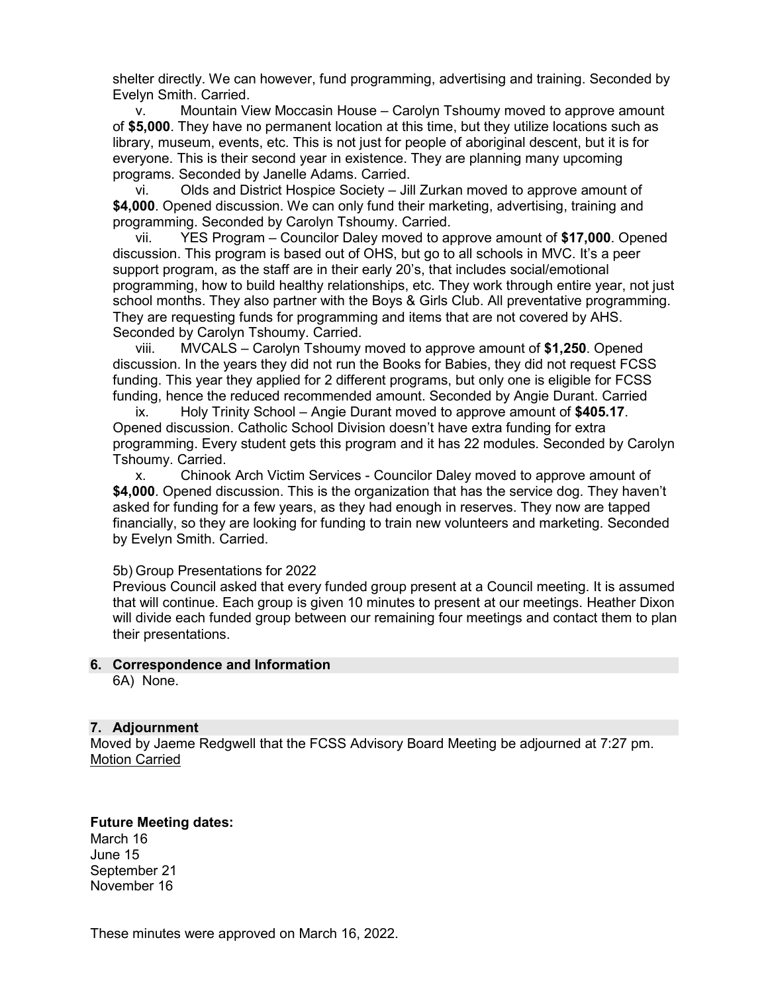shelter directly. We can however, fund programming, advertising and training. Seconded by Evelyn Smith. Carried.

v. Mountain View Moccasin House – Carolyn Tshoumy moved to approve amount of **\$5,000**. They have no permanent location at this time, but they utilize locations such as library, museum, events, etc. This is not just for people of aboriginal descent, but it is for everyone. This is their second year in existence. They are planning many upcoming programs. Seconded by Janelle Adams. Carried.

vi. Olds and District Hospice Society – Jill Zurkan moved to approve amount of **\$4,000**. Opened discussion. We can only fund their marketing, advertising, training and programming. Seconded by Carolyn Tshoumy. Carried.

vii. YES Program – Councilor Daley moved to approve amount of **\$17,000**. Opened discussion. This program is based out of OHS, but go to all schools in MVC. It's a peer support program, as the staff are in their early 20's, that includes social/emotional programming, how to build healthy relationships, etc. They work through entire year, not just school months. They also partner with the Boys & Girls Club. All preventative programming. They are requesting funds for programming and items that are not covered by AHS. Seconded by Carolyn Tshoumy. Carried.

viii. MVCALS – Carolyn Tshoumy moved to approve amount of **\$1,250**. Opened discussion. In the years they did not run the Books for Babies, they did not request FCSS funding. This year they applied for 2 different programs, but only one is eligible for FCSS funding, hence the reduced recommended amount. Seconded by Angie Durant. Carried

ix. Holy Trinity School – Angie Durant moved to approve amount of **\$405.17**. Opened discussion. Catholic School Division doesn't have extra funding for extra programming. Every student gets this program and it has 22 modules. Seconded by Carolyn Tshoumy. Carried.

x. Chinook Arch Victim Services - Councilor Daley moved to approve amount of **\$4,000**. Opened discussion. This is the organization that has the service dog. They haven't asked for funding for a few years, as they had enough in reserves. They now are tapped financially, so they are looking for funding to train new volunteers and marketing. Seconded by Evelyn Smith. Carried.

5b) Group Presentations for 2022

Previous Council asked that every funded group present at a Council meeting. It is assumed that will continue. Each group is given 10 minutes to present at our meetings. Heather Dixon will divide each funded group between our remaining four meetings and contact them to plan their presentations.

# **6. Correspondence and Information**

6A) None.

## **7. Adjournment**

Moved by Jaeme Redgwell that the FCSS Advisory Board Meeting be adjourned at 7:27 pm. Motion Carried

## **Future Meeting dates:**

March 16 June 15 September 21 November 16

These minutes were approved on March 16, 2022.